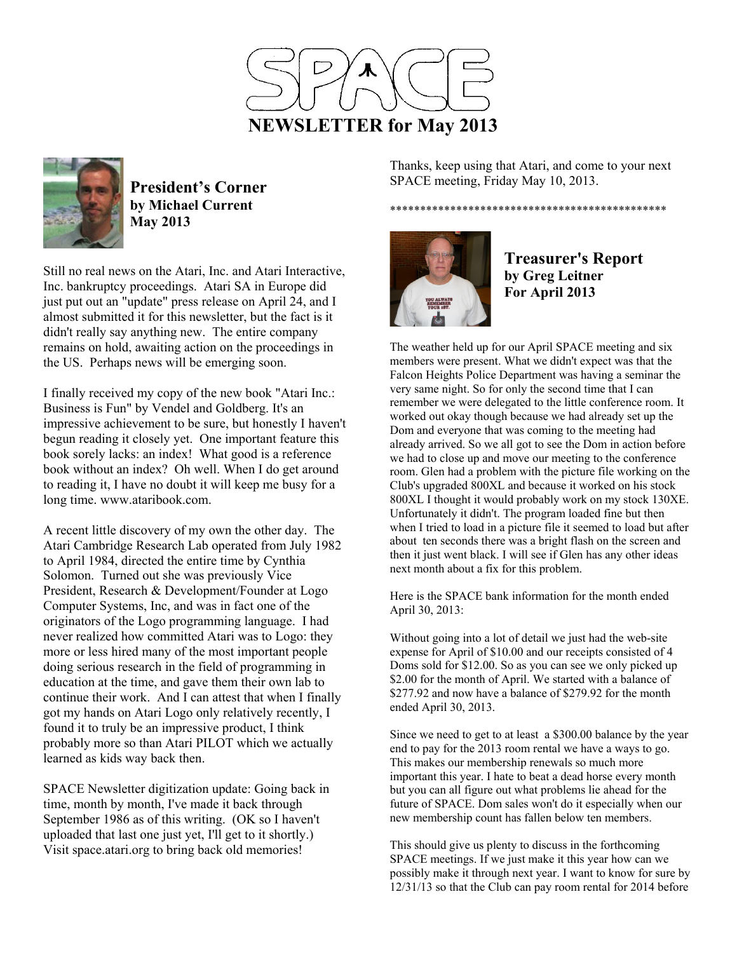



**President's Corner by Michael Current May 2013**

Still no real news on the Atari, Inc. and Atari Interactive, Inc. bankruptcy proceedings. Atari SA in Europe did just put out an "update" press release on April 24, and I almost submitted it for this newsletter, but the fact is it didn't really say anything new. The entire company remains on hold, awaiting action on the proceedings in the US. Perhaps news will be emerging soon.

I finally received my copy of the new book "Atari Inc.: Business is Fun" by Vendel and Goldberg. It's an impressive achievement to be sure, but honestly I haven't begun reading it closely yet. One important feature this book sorely lacks: an index! What good is a reference book without an index? Oh well. When I do get around to reading it, I have no doubt it will keep me busy for a long time. www.ataribook.com.

A recent little discovery of my own the other day. The Atari Cambridge Research Lab operated from July 1982 to April 1984, directed the entire time by Cynthia Solomon. Turned out she was previously Vice President, Research & Development/Founder at Logo Computer Systems, Inc, and was in fact one of the originators of the Logo programming language. I had never realized how committed Atari was to Logo: they more or less hired many of the most important people doing serious research in the field of programming in education at the time, and gave them their own lab to continue their work. And I can attest that when I finally got my hands on Atari Logo only relatively recently, I found it to truly be an impressive product, I think probably more so than Atari PILOT which we actually learned as kids way back then.

SPACE Newsletter digitization update: Going back in time, month by month, I've made it back through September 1986 as of this writing. (OK so I haven't uploaded that last one just yet, I'll get to it shortly.) Visit space.atari.org to bring back old memories!

Thanks, keep using that Atari, and come to your next SPACE meeting, Friday May 10, 2013.

\*\*\*\*\*\*\*\*\*\*\*\*\*\*\*\*\*\*\*\*\*\*\*\*\*\*\*\*\*\*\*\*\*\*\*\*\*\*\*\*\*\*\*\*\*\*



**Treasurer's Report by Greg Leitner For April 2013** 

The weather held up for our April SPACE meeting and six members were present. What we didn't expect was that the Falcon Heights Police Department was having a seminar the very same night. So for only the second time that I can remember we were delegated to the little conference room. It worked out okay though because we had already set up the Dom and everyone that was coming to the meeting had already arrived. So we all got to see the Dom in action before we had to close up and move our meeting to the conference room. Glen had a problem with the picture file working on the Club's upgraded 800XL and because it worked on his stock 800XL I thought it would probably work on my stock 130XE. Unfortunately it didn't. The program loaded fine but then when I tried to load in a picture file it seemed to load but after about ten seconds there was a bright flash on the screen and then it just went black. I will see if Glen has any other ideas next month about a fix for this problem.

Here is the SPACE bank information for the month ended April 30, 2013:

Without going into a lot of detail we just had the web-site expense for April of \$10.00 and our receipts consisted of 4 Doms sold for \$12.00. So as you can see we only picked up \$2.00 for the month of April. We started with a balance of \$277.92 and now have a balance of \$279.92 for the month ended April 30, 2013.

Since we need to get to at least a \$300.00 balance by the year end to pay for the 2013 room rental we have a ways to go. This makes our membership renewals so much more important this year. I hate to beat a dead horse every month but you can all figure out what problems lie ahead for the future of SPACE. Dom sales won't do it especially when our new membership count has fallen below ten members.

This should give us plenty to discuss in the forthcoming SPACE meetings. If we just make it this year how can we possibly make it through next year. I want to know for sure by 12/31/13 so that the Club can pay room rental for 2014 before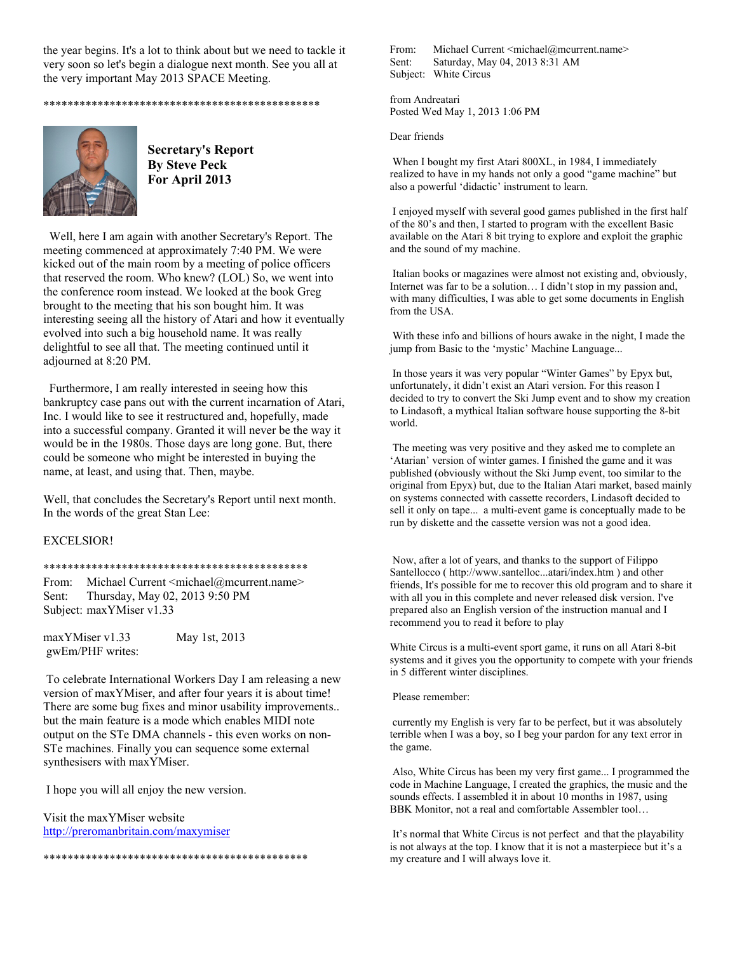the year begins. It's a lot to think about but we need to tackle it very soon so let's begin a dialogue next month. See you all at the very important May 2013 SPACE Meeting.

\*\*\*\*\*\*\*\*\*\*\*\*\*\*\*\*\*\*\*\*\*\*\*\*\*\*\*\*\*\*\*\*\*\*\*\*\*\*\*\*\*\*\*\*\*\*



 **Secretary's Report By Steve Peck For April 2013** 

 Well, here I am again with another Secretary's Report. The meeting commenced at approximately 7:40 PM. We were kicked out of the main room by a meeting of police officers that reserved the room. Who knew? (LOL) So, we went into the conference room instead. We looked at the book Greg brought to the meeting that his son bought him. It was interesting seeing all the history of Atari and how it eventually evolved into such a big household name. It was really delightful to see all that. The meeting continued until it adjourned at 8:20 PM.

 Furthermore, I am really interested in seeing how this bankruptcy case pans out with the current incarnation of Atari, Inc. I would like to see it restructured and, hopefully, made into a successful company. Granted it will never be the way it would be in the 1980s. Those days are long gone. But, there could be someone who might be interested in buying the name, at least, and using that. Then, maybe.

Well, that concludes the Secretary's Report until next month. In the words of the great Stan Lee:

## EXCELSIOR!

## \*\*\*\*\*\*\*\*\*\*\*\*\*\*\*\*\*\*\*\*\*\*\*\*\*\*\*\*\*\*\*\*\*\*\*\*\*\*\*\*\*\*\*\*

From: Michael Current <michael@mcurrent.name> Sent: Thursday, May 02, 2013 9:50 PM Subject: maxYMiser v1.33

maxYMiser v1.33 May 1st, 2013 gwEm/PHF writes:

 To celebrate International Workers Day I am releasing a new version of maxYMiser, and after four years it is about time! There are some bug fixes and minor usability improvements.. but the main feature is a mode which enables MIDI note output on the STe DMA channels - this even works on non-STe machines. Finally you can sequence some external synthesisers with maxYMiser.

\*\*\*\*\*\*\*\*\*\*\*\*\*\*\*\*\*\*\*\*\*\*\*\*\*\*\*\*\*\*\*\*\*\*\*\*\*\*\*\*\*\*\*\*

I hope you will all enjoy the new version.

Visit the maxYMiser website http://preromanbritain.com/maxymiser From: Michael Current <michael@mcurrent.name> Sent: Saturday, May 04, 2013 8:31 AM Subject: White Circus

from Andreatari Posted Wed May 1, 2013 1:06 PM

Dear friends

 When I bought my first Atari 800XL, in 1984, I immediately realized to have in my hands not only a good "game machine" but also a powerful 'didactic' instrument to learn.

 I enjoyed myself with several good games published in the first half of the 80's and then, I started to program with the excellent Basic available on the Atari 8 bit trying to explore and exploit the graphic and the sound of my machine.

 Italian books or magazines were almost not existing and, obviously, Internet was far to be a solution... I didn't stop in my passion and, with many difficulties, I was able to get some documents in English from the USA.

 With these info and billions of hours awake in the night, I made the jump from Basic to the 'mystic' Machine Language...

 In those years it was very popular "Winter Games" by Epyx but, unfortunately, it didn't exist an Atari version. For this reason I decided to try to convert the Ski Jump event and to show my creation to Lindasoft, a mythical Italian software house supporting the 8-bit world.

 The meeting was very positive and they asked me to complete an 'Atarian' version of winter games. I finished the game and it was published (obviously without the Ski Jump event, too similar to the original from Epyx) but, due to the Italian Atari market, based mainly on systems connected with cassette recorders, Lindasoft decided to sell it only on tape... a multi-event game is conceptually made to be run by diskette and the cassette version was not a good idea.

 Now, after a lot of years, and thanks to the support of Filippo Santellocco ( http://www.santelloc...atari/index.htm ) and other friends, It's possible for me to recover this old program and to share it with all you in this complete and never released disk version. I've prepared also an English version of the instruction manual and I recommend you to read it before to play

White Circus is a multi-event sport game, it runs on all Atari 8-bit systems and it gives you the opportunity to compete with your friends in 5 different winter disciplines.

Please remember:

 currently my English is very far to be perfect, but it was absolutely terrible when I was a boy, so I beg your pardon for any text error in the game.

 Also, White Circus has been my very first game... I programmed the code in Machine Language, I created the graphics, the music and the sounds effects. I assembled it in about 10 months in 1987, using BBK Monitor, not a real and comfortable Assembler tool…

 It's normal that White Circus is not perfect and that the playability is not always at the top. I know that it is not a masterpiece but it's a my creature and I will always love it.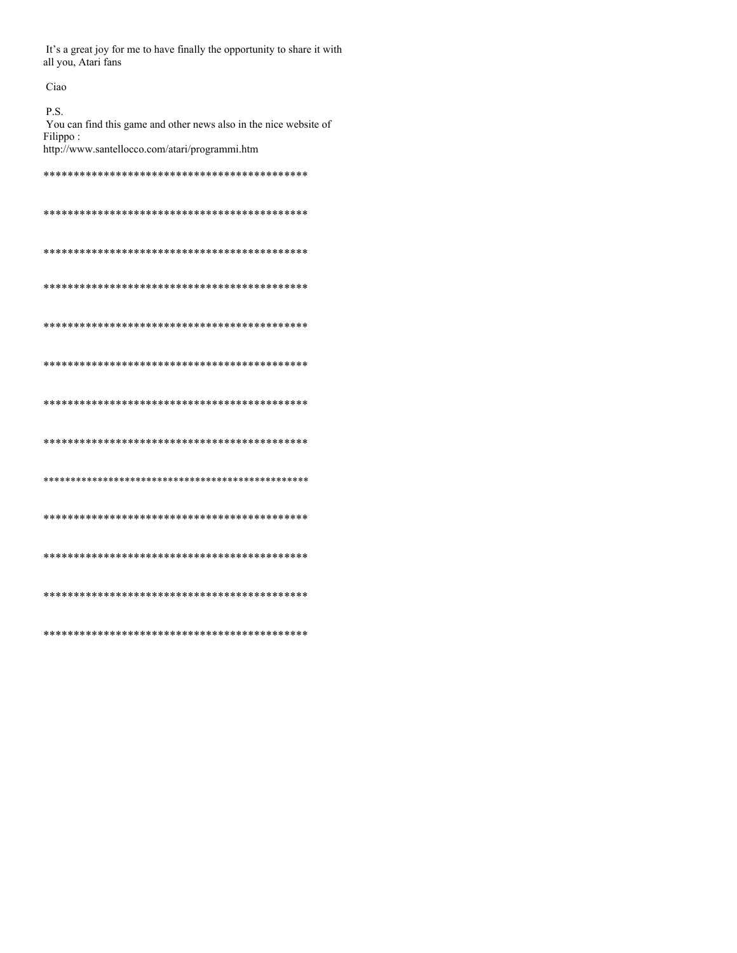It's a great joy for me to have finally the opportunity to share it with all you, Atari fans

Ciao  $P.S.$ You can find this game and other news also in the nice website of Filippo: http://www.santellocco.com/atari/programmi.htm